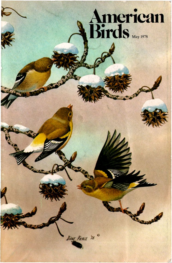# **Amcrican Birds**

DIANE PIERCE '78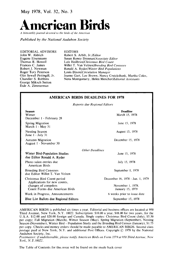**May 1978, Vol. 32, No. 3** 



**A bimonthly journal devoted to the birds' of the Americas** 

**Published by the National Audubon Society** 

**EDITORIAL ADVISORS John W. Aldrich Eugene Eisenmann Thomas R. Howell Frances C. James Robert J. Newman Roger Tory Peterson Olin Sewall Pettingill, Jr. Chandler S. Robbins George Miksch Sutton Dale A. Zimmerman** 

**EDITORS Robert S. Arbib, Jr./Editor Susan Roney Drennan/Associate Editor Lois Heilbrun/Christrnas Bird Count Willet T. Van Velzen/Breeding Bird Censuses Ronald A. Ryder/Winter Bird Populations Louis Dixon/Circulation Manager Jeanne Gart, Lee Brown, Nancy Cruickshank, Martha Coles, Nena Montgomery, Helen Menchef/Editorial Assistants** 

#### **AMERICAN BIRDS DEADLINES FOR 1978 Reports due Regional Editors Season Winter December I - February 28 Spring Migration March I - May 31 Nesting Season June I - July 31 Autumn Migration August 1 - November 30 Deadline March 15, 1978 June 15, 1978 August 15, 1978 December 15, 1978 Winter Bird-Population Studies due Editor Ronald A. Ryder Photo salon entries due American Birds Breeding Bird Censuses due Editor Willet T. Van Velzen Christmas Bird Count period Applications for new counts, changes of compilers Count Forms due American Birds Work in Progress, Announcements Blue List Ballots due Regional Editors Other Deadfines June 15, 1978 July 15, 1978 September 1, 1978 December 16, 1978- Jan. 1, 1979 November 1, 1978. January 15, 1979 6 weeks prior to issue date September 15, 1978**

**AMERICAN BIRDS is published six times a year. Editorial and business offices are located at 950 Third Avenue, New York, N.Y. 10022. Subscription: \$10.00 a year, \$18.00 for two years, for the U.S.A. \$12.00 and \$20.00 foreign and Canada. Single copies: Christmas Bird Count (July), \$5.50 per copy; Fall Migration (March), Winter Season (May), Spring Migration (September), Nesting Season (November), Winter Bird - Population Study and the Breeding Bird Census (January), \$1.75 per copy. Checks and money orders should be made payable to AMERICAN BIRDS. Second class**  postage paid at New York, N.Y. and additional Post Offices. Copyright  $\odot$  1978 by the National **Audubon Society, Inc.** 

**Postmaster: if undeliverable, please notify American Birds on Form 3579 at 950 Third Avenue, New York, N.Y. 10022.** 

**The Table of Contents for this issue will be found on the inside back cover**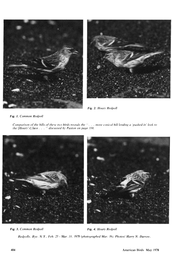



**Ftg. 2. Hoary Redpoll** 

**Fig. 1. Common Redpoll** 

**Comparison of the bills of these two birds reveals the "... more conical bill lending a 'pushed-in' look to the [Hoary's] face. . "discussed by Paxton on page 330.** 



Fig. 3. Common Redpoll **Fig. 3. Common Redpoll Redpolls, Rye, N.Y., Feb. 25 - Mar. 31, 1978 (photographed Mar. 16). Photos/Harry N. Darrow.**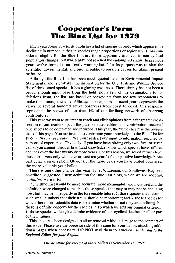## **Cooperator's Form The Blue List for 1979**

**Each year American Birds publishes a list of species of birds which appear to be declining in number, either in species range proportions or regionally. Birds considered eligible for the Blue List are those apparently involved in non-cyclical population changes, but which have not reached the endangered status. In previous years we've termed it an "early warning list," for its purpose was to alert the scientific, governmental, and birding public to possible causes for alarm, present or future.** 

**Although the Blue List has been much quoted, used in Environmental Impact Statements, and is probably the inspiration for the U.S. Fish and Wildlife Service list of threatened species, it has a glaring weakness. There simply has not been a broad enough input base from the field; not a few of the designations to, or deletions from, the list, are based on viewpoints from too few respondents to make them unimpeachable. Although our response in recent years represents the views of several hundred active observers from coast to coast, this response represents the views of less than 1% of our far-flung network of observing contributors.** 

**This year we want to attempt to reach and elicit opinions from a far greater crosssection of our readership. In the past, selected editors and contributors received blue sheets to be completed and returned. This year, the "blue sheet" is the reverse side of this page. You are invited to contribute your knowledge to the Blue List for 1979, with one reservation. We must restrict our input to information supplied by persons of experience. Obviously, if you have been birding only two, five, or seven years, you cannot, through first-hand knowledge, know which species have suffered declines over the last twenty or more years. For this reason, we solicit returns from those observers only who have at least ten years' of comparative knowledge in one particular area or region. Obviously, the more years you have birded your area, the more valuable your ballot.** 

**There is one other change this year. Janet Witzeman, our Southwest Regional co-editor, suggested a new definition for Blue List birds, which we are adopting verbatim. Here it is:** 

**"The Blue List would be more accurate, more meaningful, and more useful fithe definition were changed to read: 1. those species that may or may not be dechning now, but may be in jeopardy in the foreseeable future; 2. those species that occur in such small numbers that their status should be monitored; and 3. those species for which there is no scientific data to determine whether or not they are declining, but there is definite concern for the species." To which we add our original criterion: 4. those species which give definite evidence of non-cyclical declines in all or part of their ranges.** 

**This sheet has been designed to allow removal without damage to the contents of this issue. Please use the opposite side of this page for your ballot, attaching additional pages when necessary. DO NOT mail them to American Birds, but to the Regional Editor for your Region.** 

**The deadline for receipt of these ballots is September 15, 1978.**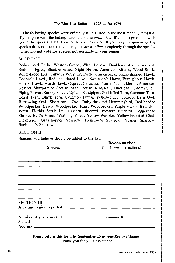#### The Blue List Ballot  $- 1978 - 6r$  1979

**The following species were officially Blue Listed in the most recent (1978) list If you agree with the listing, leave the name untouched. If you disagree, and wish to see the species deleted, circle the species name. If you have no opinion, or the species does not occur in your region, draw a line completely through the species name. Do not vote for species not normally in your region.** 

#### **SECTION I.**

**Red-necked Grebe, Western Grebe, White Pelican, Double-crested Cormorant, Reddish Egret, Black-crowned Night Heron, American Bittern, Wood Stork, White-faced Ibis, Fulvous Whistling Duck, Canvasback, Sharp-shinned Hawk, Cooper's Hawk, Red-shouldered Hawk, Swainson's Hawk, Ferruginous Hawk, Harris' Hawk, Marsh Hawk, Osprey, Caracara, Prairie Falcon, Merlin, American Kestrel, Sharp-tailed Grouse, Sage Grouse, King Rail, American Oystercatcher, Piping Plover, Snowy Plover, Upland Sandpiper, Gull-billed Tern, Common Tern, Least Tern, Black Tern, Common Puffin, Yellow-billed Cuckoo, Barn Owl, Burrowing Owl, Short-eared Owl, Ruby-throated Hummingbird, Red-headed Woodpecker, Lewis' Woodpecker, Hairy Woodpecker, Purple Martin, Bewick's Wren, Florida Scrub Jay, Eastern Bluebird, Western Bluebird, Loggerhead Shrike, Bell's Vireo, Warbling Vireo, Yellow Warbler, Yellow-breasted Chat, Dickcissel, Grasshopper Sparrow, Henslow's Sparrow, Vesper Sparrow, Bachman's Sparrow.** 

### **SECTION II.**

**Species you believe should be added to the list:** 

**Reason number**   $(1 - 4, \text{ see instructions})$ 

**SECTION III.**  Area and region reported on: <u>\_\_\_\_\_\_\_\_\_\_\_\_\_\_\_\_\_\_\_\_</u>

| Number of years worked _____ | (minnum 10) |
|------------------------------|-------------|
| Signed                       |             |
| <b>Address</b>               |             |

**Please return this form by September 15 to your Regional Editor. Thank you for your assistance.**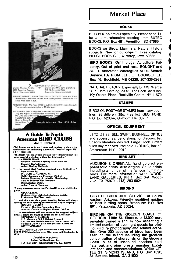## **Market Place**

#### **BOOKS**

**BIRD BOOKS are our specialty. Please send \$1 for a comprehensive catalog from BUTEO BOOKS, P.O. Box 481, Vermillion, SD 57069.** 

**BOOKS on Birds, Mammals. Natural History sublects. New or out-of-print. Free catalog. PIERCE BOOK CO., Winthrop, Iowa 50682.** 

**BIRD BOOKS, Ornithology, Aviculture, Falconry. Out of print and rare. BOUGHT and SOLD. Annotated catalogues \$1.00. Search**  Service. PATRICIA LEDLIE · BOOKSELLER, **Box 46, Buckfield, ME 04220, 207-336-2969.** 

**NATURAL HISTORY. Especially BIRDS. Scarce, O. P., Rare. Catalogues \$1. The Book Chest Inc. 19y Oxford Place, Rockville Centre, NY 11570.** 

#### **STAMPS**

**BIRDS ON POSTAGE STAMPS from many countries. 25 different 35½. Free list. GEO. FORD, P.O. Box 5203-A, Gulfport, Fla. 33737.** 

#### **OPTICAL EQUIPMENT**

**LEITZ, ZEISS, B&L, SWIFT, BUSHNELL OPTICS and accessories. Send stamp for discount list. Specify literature desired. Large Stock. Orders filled day received. Postpaid. BIRDING, Box 5E, Amsterdam, N.Y. 12010.** 

#### **BIRD ART**

**AUDUBON'S ORIGINAL, hand colored elephant folio prints. Also original Gould prints. including a number of his famous hummingbirds. For more information write: WOOD-LAND GALLERIES, RR 1, Box 3-A, Wood**ville, TX 75979. (713) 283-5024.

#### **BIRDING**

**COYOTE BIRDGUIDE SERVICE of Southeastern Arizona. Friendly qualified guiding to best birding spots. Brochure: P.O. Box 861, Patagonia, AZ 85624.** 

**BIRDING ON THE GOLDEN COAST OF GEORGIA. Little St. Simons, a 12,000 acre privately owned island, is now accepting a limited number of overnight guests for birding, wildlife photography and related activities. Over 200 species of birds have been seen on the island including the greatest concentration of shorebirds on the Georgia Coast. Miles of unspoiled beaches, tidal flats, oak and pine forests, marshes. Excellent food and accommodations. Write: LIT-**TLE ST. SIMONS ISLAND, PO Box 1096, **St. Simons Island, GA 31522.** 

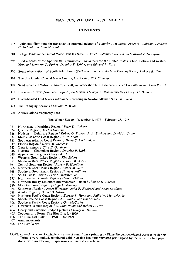#### **MAY 1978, VOLUME 32, NUMBER 3**

#### **CONTENTS**

- **275 Estimated flight time for transatlantic autumnal migrants ! Timothy C. Williams, Janet M. Williams, Leonard C Ireland and John M. Teal**
- **281 Pelagic Birds in the Gulf of Maine, Part II / Davis W. Finch, William C. Russell, and Edward V. Thompson**
- **295 First records of the Spotted Rail (Pardirallus maculatus) for the United States, Chile, Bolivia and western Mexico / Kenneth C. Parkes, Douglas P. Kibbe, and Edward L. Roth**
- **3OO Some observations of South Polar Skuas (Catharacta maccormicki) on Georges Bank / Richard R. Vett**
- **3O3 The Site Guide: Coastal Marin County, California / Rich Stallcup**
- **3O9 Sight records of Wilson's Phalarope, Ruff, and other shorebirds from Venezuela / Allen Altman and Chris Parrish**
- **310 Eurasian Curlew (Numenius arquata) on Martha's Vineyard, Massachusetts / George G. Daniels**
- **312 Black-headed Gull (Larus ridibundus) breeding in Newfoundland / Davis W. Finch**
- **313 The Changing Seasons / Claudia P. Wilds**
- **32O Abbreviations frequently used**

**The Winter Season: December 1, 1977 - February 28, 1978** 

- **321 Northeastern Maritime Region ! Peter D. Vickery**
- **324 Qu4bec Region / Michel Gosselin**
- 326 Hudson Delaware Region / Robert O. Paxton, P. A. Buckley and David A. Cutler **332** Middle Atlantic Coast Region / F. R. Scott
- **332 Middle Atlantic Coast Region / F. R. Scott 335** Southern Atlantic Coast Region / Harry E.
- **335 Southern Atlantic Coast Region / Harry E. LeGrand, Jr.**
- **339 Florida Region ! Henry M. Stevenson**
- **342 Ontario Region / Clive E. Goodwin**
- 346 Niagara Champlain Region / *Douglas P. Kibbe*<br>349 Appalachian Region / George A. Hall
- **349 Appalachian Region / George A. Hall**
- **353 Western Great Lakes Region / Kim Eckert**
- **357 M•ddlewestern Prairie Region / Vernon M. Kleen**
- **361 Central Southern Region / Robert B. Hamilton**
- **366 Northern Great Plains Region / Esther M. Serf**
- **368 Southern Great Plains Region / Frances Williams**
- **373 South Texas Region / Fred S. Webster, Jr.**
- **375 Northwestern Canada Region ! Helmut Griinberg**
- 376 Northern Rocky Mountain-Intermountain Region / Thomas H. Rogers **380** Mountain West Region / Hugh E. Kingery
- **380 Mountain West Region / Hugh E. Kingery**
- **384 Southwest Region / Janet Witzeman, John P. Hubbard and Kenn Kaufman**
- **388 Alaska Region / DanielD. Gibson**
- **390 Northern Pacific Coast Region / Eugene S. Hunn and Philip W. Mattocks, Jr.**
- **394 M•ddle Pacific Coast Region / Jon Winter and Tim Manolis**
- 
- **398 Southern Pacific Coast Region / Guy McCaskie 402 Hawaiian Islands Region / C. John Ralph and Robert L. Pyle**
- **404 Hoary and Common Redpoll pictures / Harry N. Darrow**
- **405 Cooperator's Form. The Blue List for 1979**
- $406$  The Blue List Ballot  $1978 6$  for 1979  $407$  Announcements
- **407 Announcements**
- **408 The Last Word**

COVERS — American Goldfinches in a sweet gum, from a painting by Diane Pierce. *American Birds* is considering **offering a very limited, numbered edition of this beautiful animated print signed by the artist, on fine paper stock, with no lettering. Expressions of interest are solicited.**